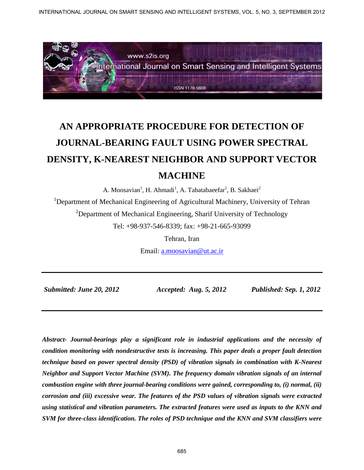

# **AN APPROPRIATE PROCEDURE FOR DETECTION OF JOURNAL-BEARING FAULT USING POWER SPECTRAL DENSITY, K-NEAREST NEIGHBOR AND SUPPORT VECTOR MACHINE**

A. Moosavian<sup>1</sup>, H. Ahmadi<sup>1</sup>, A. Tabatabaeefar<sup>1</sup>, B. Sakhaei<sup>2</sup>

<sup>1</sup>Department of Mechanical Engineering of Agricultural Machinery, University of Tehran  $2$ Department of Mechanical Engineering, Sharif University of Technology Tel: +98-937-546-8339; fax: +98-21-665-93099

Tehran, Iran

Email: a.moosavian@ut.ac.ir

*Submitted: June 20, 2012 Accepted: Aug. 5, 2012 Published: Sep. 1, 2012* 

*Abstract- Journal-bearings play a significant role in industrial applications and the necessity of condition monitoring with nondestructive tests is increasing. This paper deals a proper fault detection technique based on power spectral density (PSD) of vibration signals in combination with K-Nearest Neighbor and Support Vector Machine (SVM). The frequency domain vibration signals of an internal combustion engine with three journal-bearing conditions were gained, corresponding to, (i) normal, (ii) corrosion and (iii) excessive wear. The features of the PSD values of vibration signals were extracted using statistical and vibration parameters. The extracted features were used as inputs to the KNN and SVM for three-class identification. The roles of PSD technique and the KNN and SVM classifiers were*  INTERNATIONAL JOURNAL ADDITIONAL DEVICATION CONTRACT CONTRACT CONTRACT CONTRACT CONTRACT CONTRACT CONTRACT CONTRACT CONTRACT CONTRACT CONTRACT CONTRACT CONTRACT CONTRACT CONTRACT CONTRACT CONTRACT CONTRACT CONTRACT CONTRA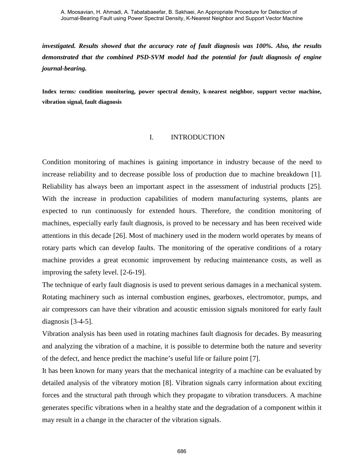*investigated. Results showed that the accuracy rate of fault diagnosis was 100%. Also, the results demonstrated that the combined PSD-SVM model had the potential for fault diagnosis of engine journal-bearing.* 

**Index terms***:* **condition monitoring, power spectral density, k-nearest neighbor, support vector machine, vibration signal, fault diagnosis**

## I. INTRODUCTION

Condition monitoring of machines is gaining importance in industry because of the need to increase reliability and to decrease possible loss of production due to machine breakdown [1]. Reliability has always been an important aspect in the assessment of industrial products [25]. With the increase in production capabilities of modern manufacturing systems, plants are expected to run continuously for extended hours. Therefore, the condition monitoring of machines, especially early fault diagnosis, is proved to be necessary and has been received wide attentions in this decade [26]. Most of machinery used in the modern world operates by means of rotary parts which can develop faults. The monitoring of the operative conditions of a rotary machine provides a great economic improvement by reducing maintenance costs, as well as improving the safety level. [2-6-19].

The technique of early fault diagnosis is used to prevent serious damages in a mechanical system. Rotating machinery such as internal combustion engines, gearboxes, electromotor, pumps, and air compressors can have their vibration and acoustic emission signals monitored for early fault diagnosis [3-4-5].

Vibration analysis has been used in rotating machines fault diagnosis for decades. By measuring and analyzing the vibration of a machine, it is possible to determine both the nature and severity of the defect, and hence predict the machine's useful life or failure point [7].

It has been known for many years that the mechanical integrity of a machine can be evaluated by detailed analysis of the vibratory motion [8]. Vibration signals carry information about exciting forces and the structural path through which they propagate to vibration transducers. A machine generates specific vibrations when in a healthy state and the degradation of a component within it may result in a change in the character of the vibration signals.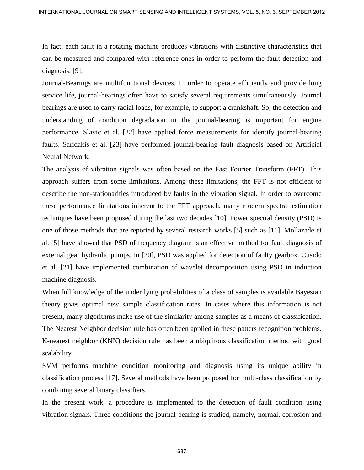In fact, each fault in a rotating machine produces vibrations with distinctive characteristics that can be measured and compared with reference ones in order to perform the fault detection and diagnosis. [9].

Journal-Bearings are multifunctional devices. In order to operate efficiently and provide long service life, journal-bearings often have to satisfy several requirements simultaneously. Journal bearings are used to carry radial loads, for example, to support a crankshaft. So, the detection and understanding of condition degradation in the journal-bearing is important for engine performance. Slavic et al. [22] have applied force measurements for identify journal-bearing faults. Saridakis et al. [23] have performed journal-bearing fault diagnosis based on Artificial Neural Network.

The analysis of vibration signals was often based on the Fast Fourier Transform (FFT). This approach suffers from some limitations. Among these limitations, the FFT is not efficient to describe the non-stationarities introduced by faults in the vibration signal. In order to overcome these performance limitations inherent to the FFT approach, many modern spectral estimation techniques have been proposed during the last two decades [10]. Power spectral density (PSD) is one of those methods that are reported by several research works [5] such as [11]. Mollazade et al. [5] have showed that PSD of frequency diagram is an effective method for fault diagnosis of external gear hydraulic pumps. In [20], PSD was applied for detection of faulty gearbox. Cusido et al. [21] have implemented combination of wavelet decomposition using PSD in induction machine diagnosis. INTERNATIONAL DOURSAL ON SONAT SENEMA AND INTELLIGENT SYSTEMS, VOL. 5, NO. 3, SEPTEMBER 2012<br>
In fact, each fould in a rutating manking valence ones in order to perform the final detection and<br>
diagonais, <sup>1931</sup>.<br>
Longthe

When full knowledge of the under lying probabilities of a class of samples is available Bayesian theory gives optimal new sample classification rates. In cases where this information is not present, many algorithms make use of the similarity among samples as a means of classification. The Nearest Neighbor decision rule has often been applied in these patters recognition problems. K-nearest neighbor (KNN) decision rule has been a ubiquitous classification method with good scalability.

SVM performs machine condition monitoring and diagnosis using its unique ability in classification process [17]. Several methods have been proposed for multi-class classification by combining several binary classifiers.

In the present work, a procedure is implemented to the detection of fault condition using vibration signals. Three conditions the journal-bearing is studied, namely, normal, corrosion and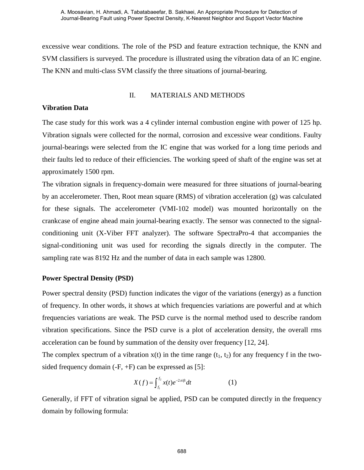excessive wear conditions. The role of the PSD and feature extraction technique, the KNN and SVM classifiers is surveyed. The procedure is illustrated using the vibration data of an IC engine. The KNN and multi-class SVM classify the three situations of journal-bearing.

## II. MATERIALS AND METHODS

# **Vibration Data**

The case study for this work was a 4 cylinder internal combustion engine with power of 125 hp. Vibration signals were collected for the normal, corrosion and excessive wear conditions. Faulty journal-bearings were selected from the IC engine that was worked for a long time periods and their faults led to reduce of their efficiencies. The working speed of shaft of the engine was set at approximately 1500 rpm.

The vibration signals in frequency-domain were measured for three situations of journal-bearing by an accelerometer. Then, Root mean square (RMS) of vibration acceleration (g) was calculated for these signals. The accelerometer (VMI-102 model) was mounted horizontally on the crankcase of engine ahead main journal-bearing exactly. The sensor was connected to the signalconditioning unit (X-Viber FFT analyzer). The software SpectraPro-4 that accompanies the signal-conditioning unit was used for recording the signals directly in the computer. The sampling rate was 8192 Hz and the number of data in each sample was 12800.

# **Power Spectral Density (PSD)**

Power spectral density (PSD) function indicates the vigor of the variations (energy) as a function of frequency. In other words, it shows at which frequencies variations are powerful and at which frequencies variations are weak. The PSD curve is the normal method used to describe random vibration specifications. Since the PSD curve is a plot of acceleration density, the overall rms acceleration can be found by summation of the density over frequency [12, 24].

The complex spectrum of a vibration  $x(t)$  in the time range  $(t_1, t_2)$  for any frequency f in the twosided frequency domain (-F, +F) can be expressed as [5]:

$$
X(f) = \int_{f_1}^{f_2} x(t)e^{-2\pi i f t} dt
$$
 (1)

Generally, if FFT of vibration signal be applied, PSD can be computed directly in the frequency domain by following formula: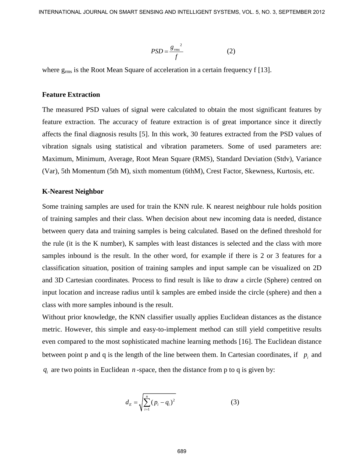$$
PSD = \frac{g_{rms}^2}{f}
$$
 (2)

where  $g_{\rm rms}$  is the Root Mean Square of acceleration in a certain frequency f [13].

## **Feature Extraction**

The measured PSD values of signal were calculated to obtain the most significant features by feature extraction. The accuracy of feature extraction is of great importance since it directly affects the final diagnosis results [5]. In this work, 30 features extracted from the PSD values of vibration signals using statistical and vibration parameters. Some of used parameters are: Maximum, Minimum, Average, Root Mean Square (RMS), Standard Deviation (Stdv), Variance (Var), 5th Momentum (5th M), sixth momentum (6thM), Crest Factor, Skewness, Kurtosis, etc.

#### **K-Nearest Neighbor**

Some training samples are used for train the KNN rule. K nearest neighbour rule holds position of training samples and their class. When decision about new incoming data is needed, distance between query data and training samples is being calculated. Based on the defined threshold for the rule (it is the K number), K samples with least distances is selected and the class with more samples inbound is the result. In the other word, for example if there is 2 or 3 features for a classification situation, position of training samples and input sample can be visualized on 2D and 3D Cartesian coordinates. Process to find result is like to draw a circle (Sphere) centred on input location and increase radius until k samples are embed inside the circle (sphere) and then a class with more samples inbound is the result. INTERNATIONAL DOURSAL ON SOART SENSING AND INTELLIGENT SYSTEMS, VOL. 5, NO. 3, SEPTEMBER 2012<br>
P550 –  $\frac{R_{\text{out}}}{f}$  (2)<br>
where  $g_{\text{min}}$  is the Boot Mean Square of acceleration in a certain frequency (1131.<br>
Feature Ext

Without prior knowledge, the KNN classifier usually applies Euclidean distances as the distance metric. However, this simple and easy-to-implement method can still yield competitive results even compared to the most sophisticated machine learning methods [16]. The Euclidean distance between point p and q is the length of the line between them. In Cartesian coordinates, if  $p_i$  and  $q_i$  are two points in Euclidean  $n$ -space, then the distance from p to q is given by:

$$
d_E = \sqrt{\sum_{i=1}^{n} (p_i - q_i)^2}
$$
 (3)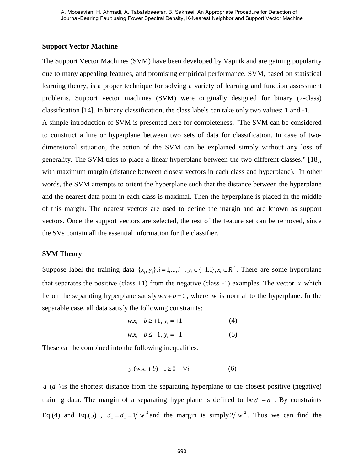## **Support Vector Machine**

The Support Vector Machines (SVM) have been developed by Vapnik and are gaining popularity due to many appealing features, and promising empirical performance. SVM, based on statistical learning theory, is a proper technique for solving a variety of learning and function assessment problems. Support vector machines (SVM) were originally designed for binary (2-class) classification [14]. In binary classification, the class labels can take only two values: 1 and -1. A simple introduction of SVM is presented here for completeness. "The SVM can be considered to construct a line or hyperplane between two sets of data for classification. In case of twodimensional situation, the action of the SVM can be explained simply without any loss of generality. The SVM tries to place a linear hyperplane between the two different classes." [18], with maximum margin (distance between closest vectors in each class and hyperplane). In other words, the SVM attempts to orient the hyperplane such that the distance between the hyperplane and the nearest data point in each class is maximal. Then the hyperplane is placed in the middle of this margin. The nearest vectors are used to define the margin and are known as support vectors. Once the support vectors are selected, the rest of the feature set can be removed, since the SVs contain all the essential information for the classifier.

### **SVM Theory**

Suppose label the training data  $\{x_i, y_i\}$ ,  $i = 1, ..., l$ ,  $y_i \in \{-1, 1\}$ ,  $x_i \in R^d$ . There are some hyperplane that separates the positive (class  $+1$ ) from the negative (class  $-1$ ) examples. The vector *x* which lie on the separating hyperplane satisfy  $w.x + b = 0$ , where *w* is normal to the hyperplane. In the separable case, all data satisfy the following constraints:

$$
w.x_i + b \ge +1, y_i = +1
$$
 (4)

$$
w.x_i + b \le -1, y_i = -1
$$
 (5)

These can be combined into the following inequalities:

$$
y_i(w.x_i + b) - 1 \ge 0 \quad \forall i \tag{6}
$$

 $d_{\perp}(d_{\perp})$  is the shortest distance from the separating hyperplane to the closest positive (negative) training data. The margin of a separating hyperplane is defined to be  $d_{+} + d_{-}$ . By constraints Eq.(4) and Eq.(5),  $d_+ = d_- = 1/||w||^2$  and the margin is simply  $2/||w||^2$ . Thus we can find the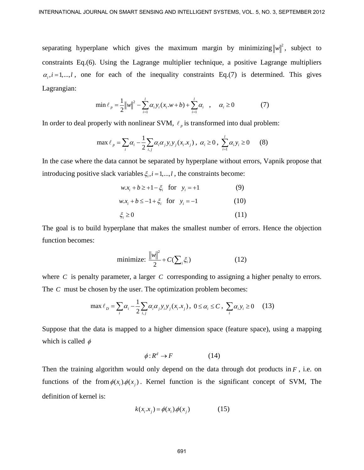separating hyperplane which gives the maximum margin by minimizing  $||w||^2$ , subject to constraints Eq.(6). Using the Lagrange multiplier technique, a positive Lagrange multipliers  $\alpha_i$ , *i* = 1,..., *l*, one for each of the inequality constraints Eq.(7) is determined. This gives Lagrangian: INTERNATIONAL DOURNAL ON SIGNAT SENSING AND INTELLIGENT SYSTEMS, VOL. 5, NO. 3, SEPTEMBER 2012<br>
separating hyperplane which gives the maximum rangin by minimizing  $|w|^2$ , subject to<br>
constraints Eq.(5). Using the Lagrange

$$
\min \ell_p = \frac{1}{2} ||w||^2 - \sum_{i=1}^{l} \alpha_i y_i (x_i \cdot w + b) + \sum_{i=1}^{l} \alpha_i , \quad \alpha_i \ge 0
$$
 (7)

In order to deal properly with nonlinear SVM,  $\ell_p$  is transformed into dual problem:

$$
\max \ell_p = \sum_i \alpha_i - \frac{1}{2} \sum_{i,j} \alpha_i \alpha_j y_i y_j (x_i . x_j), \ \alpha_i \ge 0, \ \sum_{i=1}^l \alpha_i y_i \ge 0 \tag{8}
$$

In the case where the data cannot be separated by hyperplane without errors, Vapnik propose that introducing positive slack variables  $\xi_i$ ,  $i = 1, \dots, l$ , the constraints become:

 $w.x_i + b \geq +1 - \xi_i$  for  $y_i = +1$  (9)

$$
w.x_i + b \le -1 + \xi_i \text{ for } y_i = -1 \tag{10}
$$

$$
\xi_i \ge 0 \tag{11}
$$

The goal is to build hyperplane that makes the smallest number of errors. Hence the objection function becomes:

$$
\text{minimize: } \frac{\|w\|^2}{2} + C(\sum_{i} \xi_i) \tag{12}
$$

where *C* is penalty parameter, a larger *C* corresponding to assigning a higher penalty to errors. The *C* must be chosen by the user. The optimization problem becomes:

$$
\max \ell_D = \sum_i \alpha_i - \frac{1}{2} \sum_{i,j} \alpha_i \alpha_j y_i y_j (x_i . x_j), \ 0 \le \alpha_i \le C, \ \sum_i \alpha_i y_i \ge 0 \tag{13}
$$

Suppose that the data is mapped to a higher dimension space (feature space), using a mapping which is called  $\phi$ 

$$
\phi: R^d \to F \tag{14}
$$

Then the training algorithm would only depend on the data through dot products in  $F$ , i.e. on functions of the from  $\phi(x_i)$ . Kernel function is the significant concept of SVM, The definition of kernel is:

$$
k(x_i \cdot x_j) = \phi(x_i) \cdot \phi(x_j) \tag{15}
$$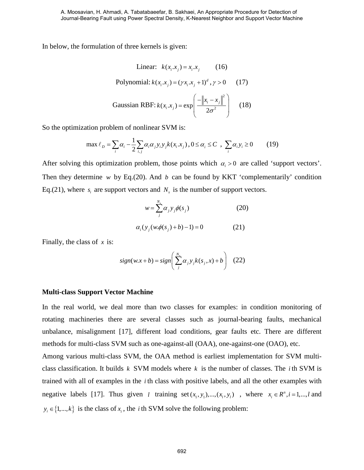In below, the formulation of three kernels is given:

**Linear:** 
$$
k(x_i.x_j) = x_i.x_j
$$
 (16)

Polynomial: 
$$
k(x_i.x_j) = (\gamma x_i.x_j + 1)^d
$$
,  $\gamma > 0$  (17)

Gaussian RBF: 
$$
k(x_i.x_j) = \exp\left(\frac{-\left\|x_i - x_j\right\|^2}{2\sigma^2}\right)
$$
 (18)

So the optimization problem of nonlinear SVM is:

$$
\max \ell_{D} = \sum_{i} \alpha_{i} - \frac{1}{2} \sum_{i,j} \alpha_{i} \alpha_{j} y_{i} y_{j} k(x_{i}.x_{j}), 0 \le \alpha_{i} \le C , \sum_{i} \alpha_{i} y_{i} \ge 0
$$
 (19)

After solving this optimization problem, those points which  $\alpha_i > 0$  are called 'support vectors'. Then they determine  $w$  by Eq.(20). And  $b$  can be found by KKT 'complementarily' condition Eq.(21), where  $s_i$  are support vectors and  $N_s$  is the number of support vectors.

$$
w = \sum_{j}^{N_s} \alpha_j y_j \phi(s_j)
$$
 (20)

$$
\alpha_i(y_j(w.\phi(s_j)+b)-1)=0
$$
 (21)

Finally, the class of *x* is:

$$
sign(w.x+b) = sign\left(\sum_{j}^{N_x} \alpha_j y_j k(s_j, x) + b\right)
$$
 (22)

### **Multi-class Support Vector Machine**

In the real world, we deal more than two classes for examples: in condition monitoring of rotating machineries there are several classes such as journal-bearing faults, mechanical unbalance, misalignment [17], different load conditions, gear faults etc. There are different methods for multi-class SVM such as one-against-all (OAA), one-against-one (OAO), etc.

Among various multi-class SVM, the OAA method is earliest implementation for SVM multiclass classification. It builds *k* SVM models where *k* is the number of classes. The *i* th SVM is trained with all of examples in the *i* th class with positive labels, and all the other examples with negative labels [17]. Thus given *l* training set  $(x_1, y_1),..., (x_i, y_i)$ , where  $x_i \in \mathbb{R}^n, i = 1,...,l$  and  ${y_i \in \{1,...,k\}}$  is the class of  ${x_i}$ , the *i* th SVM solve the following problem: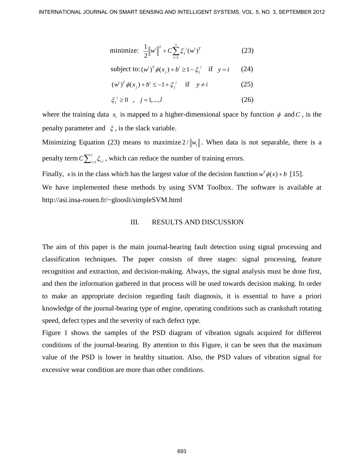minimize: 
$$
\frac{1}{2} ||w^{i}||^{2} + C \sum_{i=1}^{1} \xi_{j}^{i} (w^{i})^{T}
$$
 (23)

subject to: 
$$
(w^i)^T \phi(x_j) + b^i \ge 1 - \xi_j^i
$$
 if  $y = i$  (24)

$$
(w^{i})^{T} \phi(x_{j}) + b^{i} \le -1 + \xi_{j}^{i} \quad \text{if} \quad y \ne i \tag{25}
$$

$$
\xi_j^i \ge 0
$$
,  $j = 1,...,l$  (26)

where the training data  $x_i$  is mapped to a higher-dimensional space by function  $\phi$  and  $C$ , is the penalty parameter and  $\xi$ , is the slack variable.

Minimizing Equation (23) means to maximize  $2/\Vert w_i \Vert$ . When data is not separable, there is a penalty term  $C\sum_{i=1}^{l} \xi_{i,i}$ , which can reduce the number of training errors.

Finally, *x* is in the class which has the largest value of the decision function  $w^T \phi(x) + b$  [15].

We have implemented these methods by using SVM Toolbox. The software is available at http://asi.insa-rouen.fr/~gloosli/simpleSVM.html

#### III. RESULTS AND DISCUSSION

The aim of this paper is the main journal-bearing fault detection using signal processing and classification techniques. The paper consists of three stages: signal processing, feature recognition and extraction, and decision-making. Always, the signal analysis must be done first, and then the information gathered in that process will be used towards decision making. In order to make an appropriate decision regarding fault diagnosis, it is essential to have a priori knowledge of the journal-bearing type of engine, operating conditions such as crankshaft rotating speed, defect types and the severity of each defect type. INTERNATIONAL JOURNAL ON SIGNAT SENSING AND INTELLIGENT SYSTEMS, VOL. 5, NO. 3, SEPTEMBER 2012<br>
Intrinuiting  $\left[\frac{1}{2} |w|^2\right]^{2}$  :  $O\left(\frac{1}{2}\right)^{2}$  if  $y = i$  (23)<br>  $\left(\frac{1}{2}\right)^{2}$  is a biget tree ( $w^2/8(x)$ ,  $b \ge 1$  if

Figure 1 shows the samples of the PSD diagram of vibration signals acquired for different conditions of the journal-bearing. By attention to this Figure, it can be seen that the maximum value of the PSD is lower in healthy situation. Also, the PSD values of vibration signal for excessive wear condition are more than other conditions.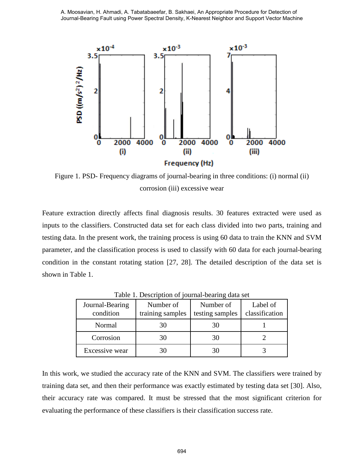

Figure 1. PSD- Frequency diagrams of journal-bearing in three conditions: (i) normal (ii) corrosion (iii) excessive wear

Feature extraction directly affects final diagnosis results. 30 features extracted were used as inputs to the classifiers. Constructed data set for each class divided into two parts, training and testing data. In the present work, the training process is using 60 data to train the KNN and SVM parameter, and the classification process is used to classify with 60 data for each journal-bearing condition in the constant rotating station [27, 28]. The detailed description of the data set is shown in Table 1.

| Journal-Bearing<br>condition | Number of<br>training samples | Number of<br>testing samples | Label of<br>classification |
|------------------------------|-------------------------------|------------------------------|----------------------------|
| Normal                       | 30                            |                              |                            |
| Corrosion                    | 30                            |                              |                            |
| Excessive wear               | 30                            |                              |                            |

Table 1. Description of journal-bearing data set

In this work, we studied the accuracy rate of the KNN and SVM. The classifiers were trained by training data set, and then their performance was exactly estimated by testing data set [30]. Also, their accuracy rate was compared. It must be stressed that the most significant criterion for evaluating the performance of these classifiers is their classification success rate.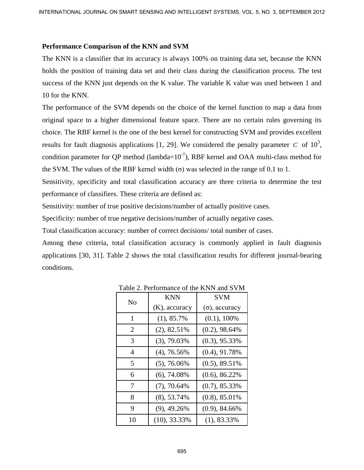### **Performance Comparison of the KNN and SVM**

The KNN is a classifier that its accuracy is always 100% on training data set, because the KNN holds the position of training data set and their class during the classification process. The test success of the KNN just depends on the K value. The variable K value was used between 1 and 10 for the KNN.

The performance of the SVM depends on the choice of the kernel function to map a data from original space to a higher dimensional feature space. There are no certain rules governing its choice. The RBF kernel is the one of the best kernel for constructing SVM and provides excellent results for fault diagnosis applications [1, 29]. We considered the penalty parameter  $C$  of  $10^3$ , condition parameter for QP method (lambda= $10^{-7}$ ), RBF kernel and OAA multi-class method for the SVM. The values of the RBF kernel width  $(\sigma)$  was selected in the range of 0.1 to 1. INTERNATIONAL DOUBMAL ON SOMEN SCHOOL AND INTELLIGENT SYSTEMS, VOL. 5, NO. 3, SEPTEMBER 2012 **Proference Comparison of the KNN** and SYM The KNN is a classifier that its accuracy is always 100% on training dant set. he cau

Sensitivity, specificity and total classification accuracy are three criteria to determine the test performance of classifiers. These criteria are defined as:

Sensitivity: number of true positive decisions/number of actually positive cases.

Specificity: number of true negative decisions/number of actually negative cases.

Total classification accuracy: number of correct decisions/ total number of cases.

Among these criteria, total classification accuracy is commonly applied in fault diagnosis applications [30, 31]. Table 2 shows the total classification results for different journal-bearing conditions.

| N <sub>o</sub> | <b>KNN</b>       | <b>SVM</b>            |
|----------------|------------------|-----------------------|
|                | $(K)$ , accuracy | $(\sigma)$ , accuracy |
| 1              | (1), 85.7%       | $(0.1)$ , 100%        |
| $\overline{2}$ | $(2), 82.51\%$   | $(0.2)$ , 98.64%      |
| 3              | $(3), 79.03\%$   | $(0.3)$ , 95.33%      |
| 4              | $(4)$ , 76.56%   | $(0.4)$ , 91.78%      |
| 5              | $(5), 76.06\%$   | $(0.5)$ , 89.51%      |
| 6              | $(6), 74.08\%$   | $(0.6)$ , 86.22%      |
| 7              | $(7), 70.64\%$   | $(0.7)$ , 85.33%      |
| 8              | (8), 53.74%      | $(0.8)$ , 85.01%      |
| 9              | $(9)$ , 49.26%   | $(0.9)$ , 84.66%      |
| 10             | $(10), 33.33\%$  | $(1), 83.33\%$        |

Table 2. Performance of the KNN and SVM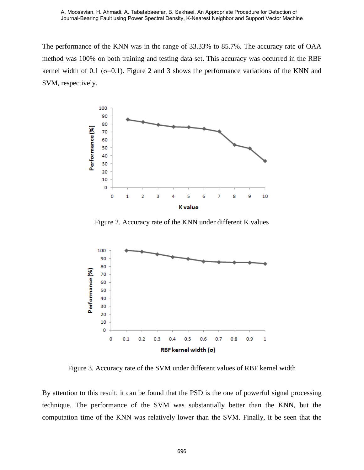The performance of the KNN was in the range of 33.33% to 85.7%. The accuracy rate of OAA method was 100% on both training and testing data set. This accuracy was occurred in the RBF kernel width of 0.1 ( $\sigma$ =0.1). Figure 2 and 3 shows the performance variations of the KNN and SVM, respectively.



Figure 2. Accuracy rate of the KNN under different K values



Figure 3. Accuracy rate of the SVM under different values of RBF kernel width

By attention to this result, it can be found that the PSD is the one of powerful signal processing technique. The performance of the SVM was substantially better than the KNN, but the computation time of the KNN was relatively lower than the SVM. Finally, it be seen that the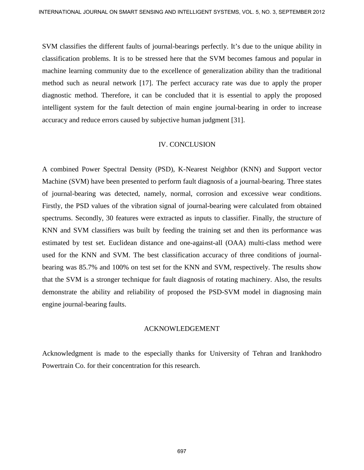SVM classifies the different faults of journal-bearings perfectly. It's due to the unique ability in classification problems. It is to be stressed here that the SVM becomes famous and popular in machine learning community due to the excellence of generalization ability than the traditional method such as neural network [17]. The perfect accuracy rate was due to apply the proper diagnostic method. Therefore, it can be concluded that it is essential to apply the proposed intelligent system for the fault detection of main engine journal-bearing in order to increase accuracy and reduce errors caused by subjective human judgment [31].

### IV. CONCLUSION

A combined Power Spectral Density (PSD), K-Nearest Neighbor (KNN) and Support vector Machine (SVM) have been presented to perform fault diagnosis of a journal-bearing. Three states of journal-bearing was detected, namely, normal, corrosion and excessive wear conditions. Firstly, the PSD values of the vibration signal of journal-bearing were calculated from obtained spectrums. Secondly, 30 features were extracted as inputs to classifier. Finally, the structure of KNN and SVM classifiers was built by feeding the training set and then its performance was estimated by test set. Euclidean distance and one-against-all (OAA) multi-class method were used for the KNN and SVM. The best classification accuracy of three conditions of journalbearing was 85.7% and 100% on test set for the KNN and SVM, respectively. The results show that the SVM is a stronger technique for fault diagnosis of rotating machinery. Also, the results demonstrate the ability and reliability of proposed the PSD-SVM model in diagnosing main engine journal-bearing faults. INTERNATIONAL DOURMAL ON SONAT SCNEWA AND INTELLIGENT SYSTEMS, VOL. 5, NO. 3, SEPTEMBER 2012<br>
SYM classification problems. It is to be stossed here than the SYM becomes famous and popular in machale leming community are to

### ACKNOWLEDGEMENT

Acknowledgment is made to the especially thanks for University of Tehran and Irankhodro Powertrain Co. for their concentration for this research.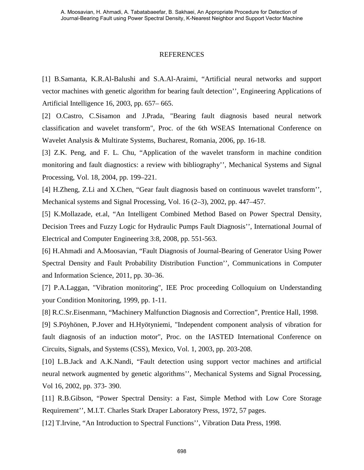#### REFERENCES

[1] B.Samanta, K.R.Al-Balushi and S.A.Al-Araimi, "Artificial neural networks and support vector machines with genetic algorithm for bearing fault detection'', Engineering Applications of Artificial Intelligence 16, 2003, pp. 657– 665.

[2] O.Castro, C.Sisamon and J.Prada, "Bearing fault diagnosis based neural network classification and wavelet transform", Proc. of the 6th WSEAS International Conference on Wavelet Analysis & Multirate Systems, Bucharest, Romania, 2006, pp. 16-18.

[3] Z.K. Peng, and F. L. Chu, "Application of the wavelet transform in machine condition monitoring and fault diagnostics: a review with bibliography'', Mechanical Systems and Signal Processing, Vol. 18, 2004, pp. 199–221.

[4] H.Zheng, Z.Li and X.Chen, "Gear fault diagnosis based on continuous wavelet transform'', Mechanical systems and Signal Processing, Vol. 16 (2–3), 2002, pp. 447–457.

[5] K.Mollazade, et.al, "An Intelligent Combined Method Based on Power Spectral Density, Decision Trees and Fuzzy Logic for Hydraulic Pumps Fault Diagnosis'', International Journal of Electrical and Computer Engineering 3:8, 2008, pp. 551-563.

[6] H.Ahmadi and A.Moosavian, "Fault Diagnosis of Journal-Bearing of Generator Using Power Spectral Density and Fault Probability Distribution Function'', Communications in Computer and Information Science, 2011, pp. 30–36.

[7] P.A.Laggan, "Vibration monitoring", IEE Proc proceeding Colloquium on Understanding your Condition Monitoring, 1999, pp. 1-11.

[8] R.C.Sr.Eisenmann, "Machinery Malfunction Diagnosis and Correction", Prentice Hall, 1998.

[9] S.Pöyhönen, P.Jover and H.Hyötyniemi, "Independent component analysis of vibration for fault diagnosis of an induction motor", Proc. on the IASTED International Conference on Circuits, Signals, and Systems (CSS), Mexico, Vol. 1, 2003, pp. 203-208.

[10] L.B.Jack and A.K.Nandi, "Fault detection using support vector machines and artificial neural network augmented by genetic algorithms'', Mechanical Systems and Signal Processing, Vol 16, 2002, pp. 373- 390.

[11] R.B.Gibson, "Power Spectral Density: a Fast, Simple Method with Low Core Storage Requirement'', M.I.T. Charles Stark Draper Laboratory Press, 1972, 57 pages.

[12] T.Irvine, "An Introduction to Spectral Functions", Vibration Data Press, 1998.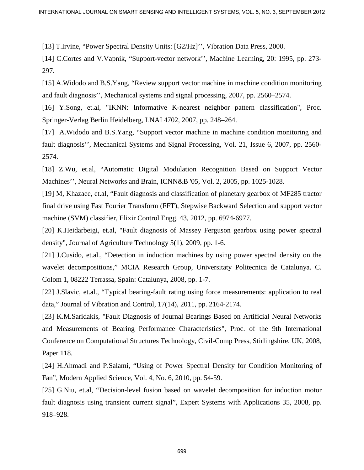[13] T.Irvine, "Power Spectral Density Units: [G2/Hz]'', Vibration Data Press, 2000.

[14] C.Cortes and V.Vapnik, "Support-vector network'', Machine Learning, 20: 1995, pp. 273- 297.

[15] A.Widodo and B.S.Yang, "Review support vector machine in machine condition monitoring and fault diagnosis'', Mechanical systems and signal processing, 2007, pp. 2560–2574.

[16] Y.Song, et.al, "IKNN: Informative K-nearest neighbor pattern classification", Proc. Springer-Verlag Berlin Heidelberg, LNAI 4702, 2007, pp. 248–264.

[17] A.Widodo and B.S.Yang, "Support vector machine in machine condition monitoring and fault diagnosis'', Mechanical Systems and Signal Processing, Vol. 21, Issue 6, 2007, pp. 2560- 2574.

[18] Z.Wu, et.al, "Automatic Digital Modulation Recognition Based on Support Vector Machines'', Neural Networks and Brain, ICNN&B '05, Vol. 2, 2005, pp. 1025-1028.

[19] M, Khazaee, et.al, "Fault diagnosis and classification of planetary gearbox of MF285 tractor final drive using Fast Fourier Transform (FFT), Stepwise Backward Selection and support vector machine (SVM) classifier, Elixir Control Engg. 43, 2012, pp. 6974-6977.

[20] K.Heidarbeigi, et.al, "Fault diagnosis of Massey Ferguson gearbox using power spectral density", Journal of Agriculture Technology 5(1), 2009, pp. 1-6.

[21] J.Cusido, et.al., "Detection in induction machines by using power spectral density on the wavelet decompositions," MCIA Research Group, Universitaty Politecnica de Catalunya. C. Colom 1, 08222 Terrassa, Spain: Catalunya, 2008, pp. 1-7.

[22] J.Slavic, et.al., "Typical bearing-fault rating using force measurements: application to real data," Journal of Vibration and Control, 17(14), 2011, pp. 2164-2174.

[23] K.M.Saridakis, "Fault Diagnosis of Journal Bearings Based on Artificial Neural Networks and Measurements of Bearing Performance Characteristics", Proc. of the 9th International Conference on Computational Structures Technology, Civil-Comp Press, Stirlingshire, UK, 2008, Paper 118. INTERNATIONAL DOUBMAL ON SOMET SENEMA AND INTELLIGENT SYSTEMS, VOL. 5, NO. 3, SEPTEMBER 2012<br>
1131 Theore, "Power Spectral Density Units: [GZ/112]", "Veheniton Data Press, 2010.<br>
1141 C.Contes and V.Vapnik. "Support-vector

[24] H.Ahmadi and P.Salami, "Using of Power Spectral Density for Condition Monitoring of Fan", Modern Applied Science, Vol. 4, No. 6, 2010, pp. 54-59.

[25] G.Niu, et.al, "Decision-level fusion based on wavelet decomposition for induction motor fault diagnosis using transient current signal", Expert Systems with Applications 35, 2008, pp. 918–928.